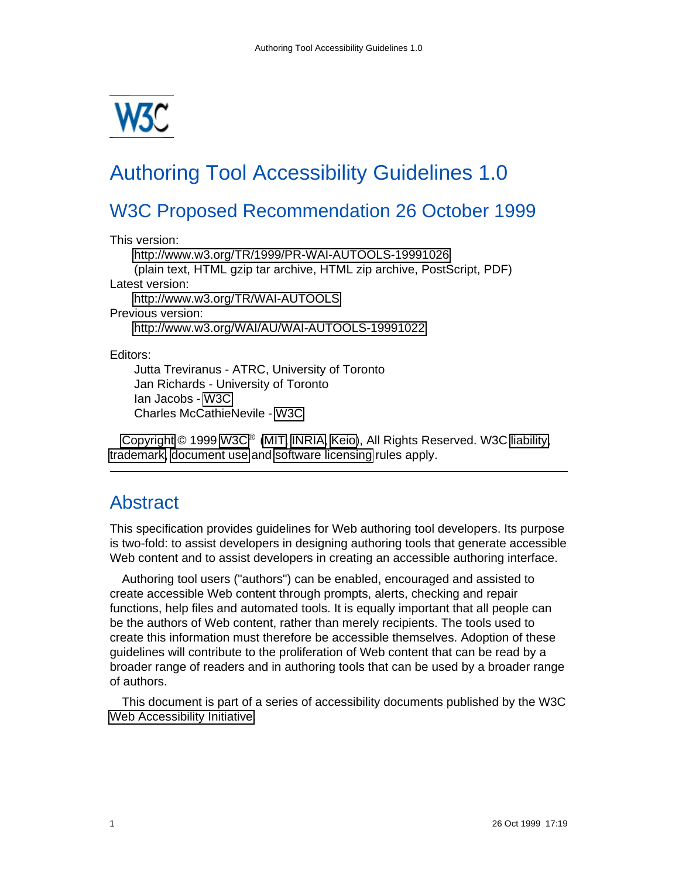

# Authoring Tool Accessibility Guidelines 1.0

# W3C Proposed Recommendation 26 October 1999

This version:

<http://www.w3.org/TR/1999/PR-WAI-AUTOOLS-19991026> (plain text, HTML gzip tar archive, HTML zip archive, PostScript, PDF) Latest version: <http://www.w3.org/TR/WAI-AUTOOLS> Previous version: <http://www.w3.org/WAI/AU/WAI-AUTOOLS-19991022>

Editors:

Jutta Treviranus - ATRC, University of Toronto Jan Richards - University of Toronto Ian Jacobs - [W3C](http://www.w3.org/) Charles McCathieNevile - [W3C](http://www.w3.org/)

[Copyright](http://www.w3.org/Consortium/Legal/ipr-notice#Copyright) © 1999 [W3C](http://www.w3.org/)® [\(MIT,](http://www.lcs.mit.edu/) [INRIA,](http://www.inria.fr/) [Keio\)](http://www.keio.ac.jp/), All Rights Reserved. W3C [liability,](http://www.w3.org/Consortium/Legal/ipr-notice#Legal_Disclaimer) [trademark,](http://www.w3.org/Consortium/Legal/ipr-notice#W3C_Trademarks) [document use](http://www.w3.org/Consortium/Legal/copyright-documents) and [software licensing](http://www.w3.org/Consortium/Legal/copyright-software) rules apply.

# <span id="page-0-0"></span>**Abstract**

This specification provides guidelines for Web authoring tool developers. Its purpose is two-fold: to assist developers in designing authoring tools that generate accessible Web content and to assist developers in creating an accessible authoring interface.

Authoring tool users ("authors") can be enabled, encouraged and assisted to create accessible Web content through prompts, alerts, checking and repair functions, help files and automated tools. It is equally important that all people can be the authors of Web content, rather than merely recipients. The tools used to create this information must therefore be accessible themselves. Adoption of these guidelines will contribute to the proliferation of Web content that can be read by a broader range of readers and in authoring tools that can be used by a broader range of authors.

This document is part of a series of accessibility documents published by the W3C [Web Accessibility Initiative.](http://www.w3.org/WAI/)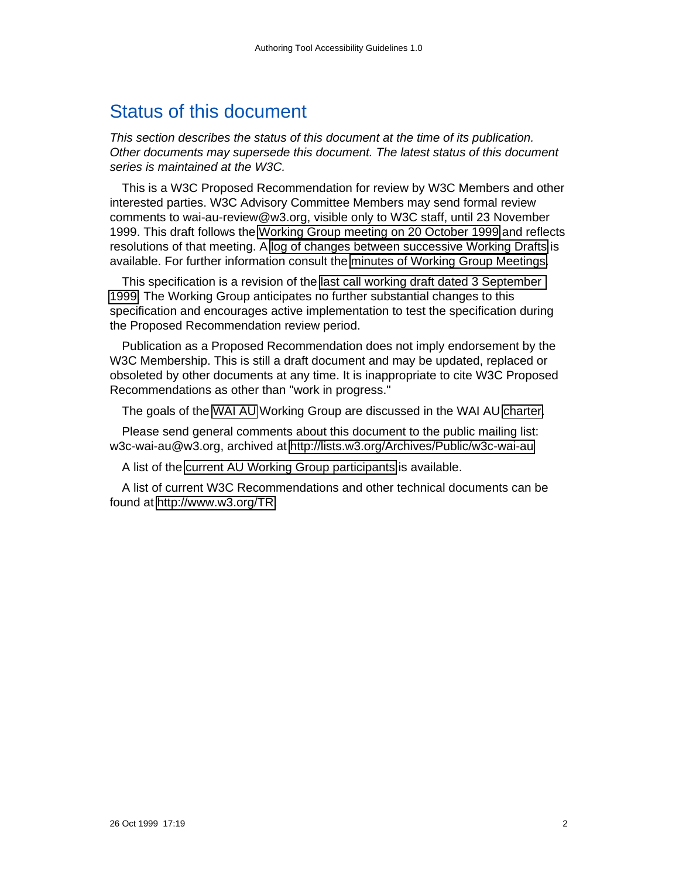# <span id="page-1-0"></span>Status of this document

This section describes the status of this document at the time of its publication. Other documents may supersede this document. The latest status of this document series is maintained at the W3C.

This is a W3C Proposed Recommendation for review by W3C Members and other interested parties. W3C Advisory Committee Members may send formal review comments to wai-au-review@w3.org, visible only to W3C staff, until 23 November 1999. This draft follows the [Working Group meeting on 20 October 1999](http://www.w3.org/WAI/AU/telecon-20oct99.html) and reflects resolutions of that meeting. A [log of changes between successive Working Drafts](http://www.w3.org/WAI/AU/changes.html) is available. For further information consult the [minutes of Working Group Meetings.](http://www.w3.org/WAI/AU/#Minutes)

This specification is a revision of the [last call working draft dated 3 September](http://www.w3.org/TR/1999/WAI-AUTOOLS-19990903)  [1999.](http://www.w3.org/TR/1999/WAI-AUTOOLS-19990903) The Working Group anticipates no further substantial changes to this specification and encourages active implementation to test the specification during the Proposed Recommendation review period.

Publication as a Proposed Recommendation does not imply endorsement by the W3C Membership. This is still a draft document and may be updated, replaced or obsoleted by other documents at any time. It is inappropriate to cite W3C Proposed Recommendations as other than "work in progress."

The goals of the [WAI AU](http://www.w3.org/WAI/AU/) Working Group are discussed in the WAI AU [charter.](http://www.w3.org/WAI/AU/charter.html)

Please send general comments about this document to the public mailing list: w3c-wai-au@w3.org, archived at<http://lists.w3.org/Archives/Public/w3c-wai-au>

A list of the [current AU Working Group participants](http://www.w3.org/WAI/AU/members) is available.

A list of current W3C Recommendations and other technical documents can be found at [http://www.w3.org/TR.](http://www.w3.org/TR)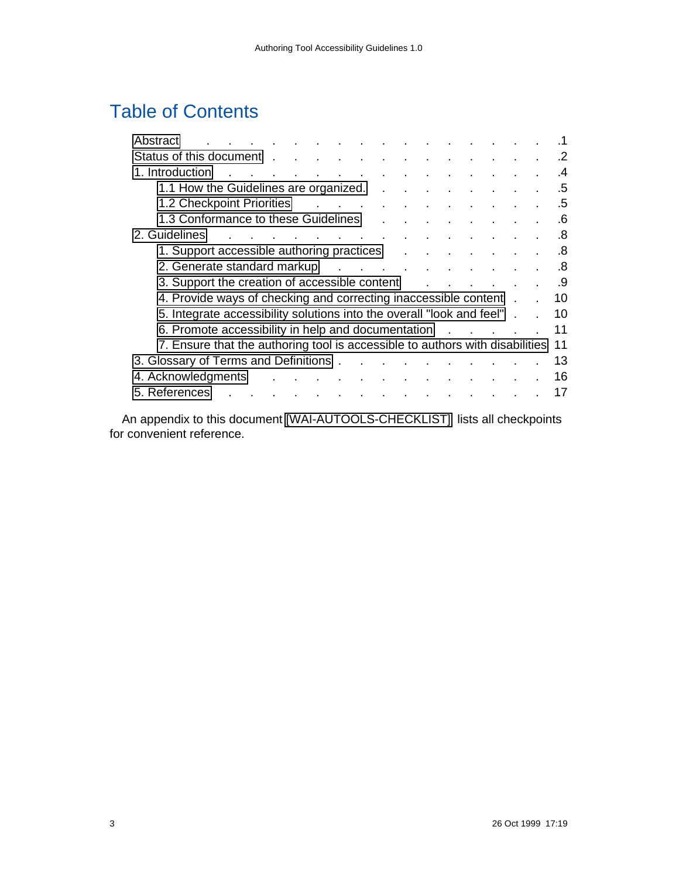# Table of Contents

| Abstract                                                                                                                                                                                                                       |  |    |
|--------------------------------------------------------------------------------------------------------------------------------------------------------------------------------------------------------------------------------|--|----|
| Status of this document                                                                                                                                                                                                        |  |    |
| 1. Introduction<br>the contract of the contract of<br>the contract of the contract of the contract of the contract of the contract of the contract of the contract of                                                          |  | .4 |
| 1.1 How the Guidelines are organized. .<br>$\sim 100$                                                                                                                                                                          |  | .5 |
| 1.2 Checkpoint Priorities                                                                                                                                                                                                      |  | .5 |
| 1.3 Conformance to these Guidelines<br>and the company of the company of the company of the company of the company of                                                                                                          |  |    |
| 2. Guidelines<br>the contract of the contract of the contract of the contract of                                                                                                                                               |  | .8 |
| 1. Support accessible authoring practices                                                                                                                                                                                      |  | .8 |
| 2. Generate standard markup discussed as a contract of the standard markup discussed as a contract of the standard contract of the standard contract of the standard contract of the standard contract of the standard contrac |  | .8 |
| 3. Support the creation of accessible content                                                                                                                                                                                  |  | .9 |
| 4. Provide ways of checking and correcting inaccessible content.                                                                                                                                                               |  | 10 |
| 5. Integrate accessibility solutions into the overall "look and feel".                                                                                                                                                         |  | 10 |
| 6. Promote accessibility in help and documentation                                                                                                                                                                             |  | 11 |
| 7. Ensure that the authoring tool is accessible to authors with disabilities                                                                                                                                                   |  | 11 |
| 3. Glossary of Terms and Definitions                                                                                                                                                                                           |  | 13 |
| 4. Acknowledgments<br>and a series of the contract of the contract of the                                                                                                                                                      |  | 16 |
| 5. References<br>the contract of the contract of the contract of the                                                                                                                                                           |  | 17 |
|                                                                                                                                                                                                                                |  |    |

An appendix to this document [\[WAI-AUTOOLS-CHECKLIST\]](#page-16-0) lists all checkpoints for convenient reference.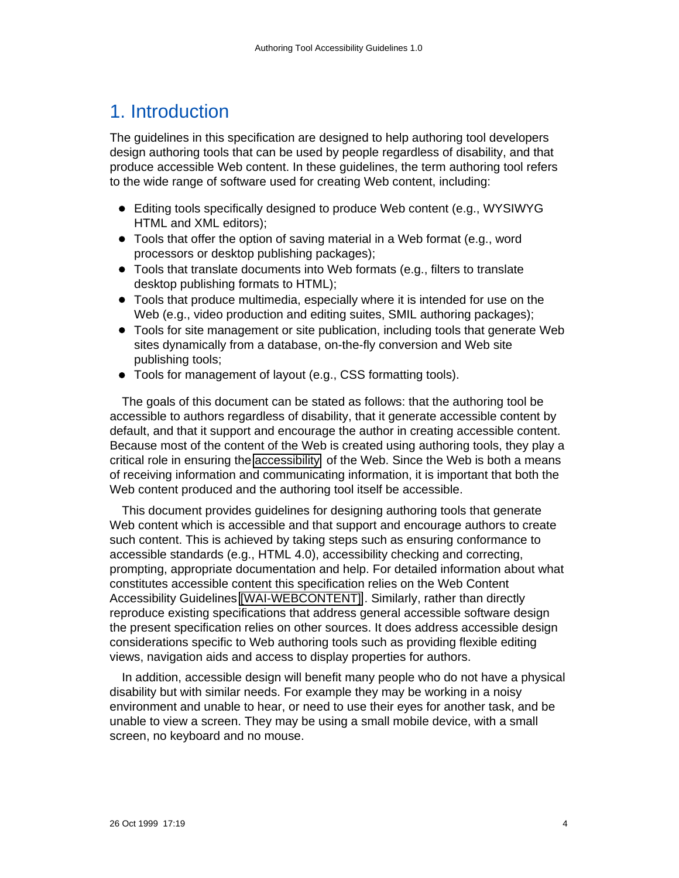# <span id="page-3-0"></span>1. Introduction

The guidelines in this specification are designed to help authoring tool developers design authoring tools that can be used by people regardless of disability, and that produce accessible Web content. In these guidelines, the term authoring tool refers to the wide range of software used for creating Web content, including:

- Editing tools specifically designed to produce Web content (e.g., WYSIWYG HTML and XML editors);
- Tools that offer the option of saving material in a Web format (e.g., word processors or desktop publishing packages);
- Tools that translate documents into Web formats (e.g., filters to translate desktop publishing formats to HTML);
- Tools that produce multimedia, especially where it is intended for use on the Web (e.g., video production and editing suites, SMIL authoring packages);
- Tools for site management or site publication, including tools that generate Web sites dynamically from a database, on-the-fly conversion and Web site publishing tools;
- Tools for management of layout (e.g., CSS formatting tools).

The goals of this document can be stated as follows: that the authoring tool be accessible to authors regardless of disability, that it generate accessible content by default, and that it support and encourage the author in creating accessible content. Because most of the content of the Web is created using authoring tools, they play a critical role in ensuring the [accessibility](#page-12-1) of the Web. Since the Web is both a means of receiving information and communicating information, it is important that both the Web content produced and the authoring tool itself be accessible.

This document provides guidelines for designing authoring tools that generate Web content which is accessible and that support and encourage authors to create such content. This is achieved by taking steps such as ensuring conformance to accessible standards (e.g., HTML 4.0), accessibility checking and correcting, prompting, appropriate documentation and help. For detailed information about what constitutes accessible content this specification relies on the Web Content Accessibility Guidelines [\[WAI-WEBCONTENT\]](#page-16-2) . Similarly, rather than directly reproduce existing specifications that address general accessible software design the present specification relies on other sources. It does address accessible design considerations specific to Web authoring tools such as providing flexible editing views, navigation aids and access to display properties for authors.

In addition, accessible design will benefit many people who do not have a physical disability but with similar needs. For example they may be working in a noisy environment and unable to hear, or need to use their eyes for another task, and be unable to view a screen. They may be using a small mobile device, with a small screen, no keyboard and no mouse.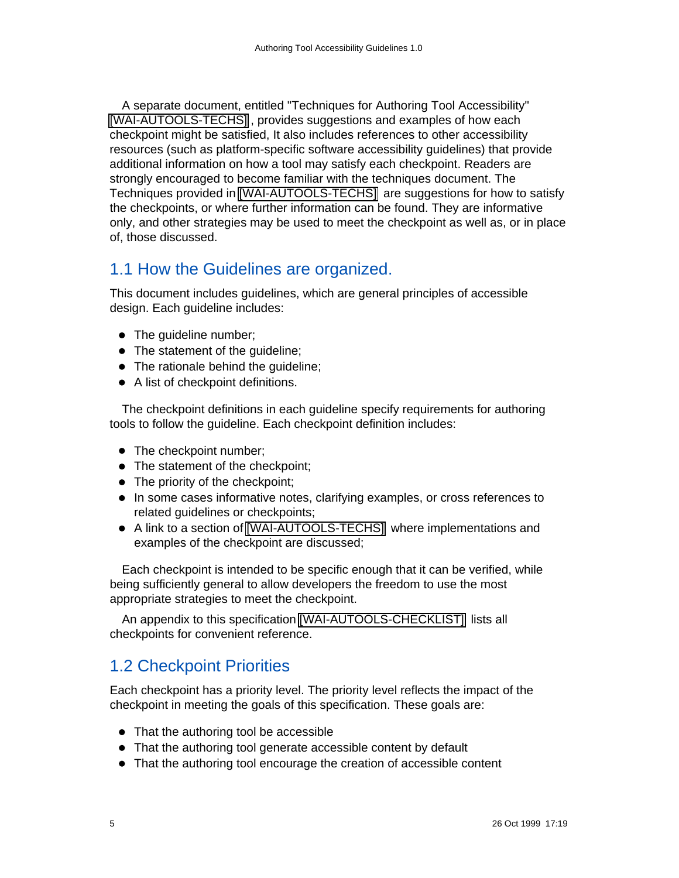A separate document, entitled "Techniques for Authoring Tool Accessibility" [\[WAI-AUTOOLS-TECHS\]](#page-16-3) , provides suggestions and examples of how each checkpoint might be satisfied, It also includes references to other accessibility resources (such as platform-specific software accessibility guidelines) that provide additional information on how a tool may satisfy each checkpoint. Readers are strongly encouraged to become familiar with the techniques document. The Techniques provided in [\[WAI-AUTOOLS-TECHS\]](#page-16-3) are suggestions for how to satisfy the checkpoints, or where further information can be found. They are informative only, and other strategies may be used to meet the checkpoint as well as, or in place of, those discussed.

# <span id="page-4-1"></span>1.1 How the Guidelines are organized.

This document includes guidelines, which are general principles of accessible design. Each guideline includes:

- The guideline number;
- The statement of the guideline;
- The rationale behind the quideline;
- A list of checkpoint definitions.

The checkpoint definitions in each guideline specify requirements for authoring tools to follow the guideline. Each checkpoint definition includes:

- The checkpoint number;
- The statement of the checkpoint;
- The priority of the checkpoint;
- In some cases informative notes, clarifying examples, or cross references to related guidelines or checkpoints;
- A link to a section of [\[WAI-AUTOOLS-TECHS\]](#page-16-3) where implementations and examples of the checkpoint are discussed;

Each checkpoint is intended to be specific enough that it can be verified, while being sufficiently general to allow developers the freedom to use the most appropriate strategies to meet the checkpoint.

An appendix to this specification [\[WAI-AUTOOLS-CHECKLIST\]](#page-16-0) lists all checkpoints for convenient reference.

# <span id="page-4-0"></span>1.2 Checkpoint Priorities

Each checkpoint has a priority level. The priority level reflects the impact of the checkpoint in meeting the goals of this specification. These goals are:

- That the authoring tool be accessible
- That the authoring tool generate accessible content by default
- That the authoring tool encourage the creation of accessible content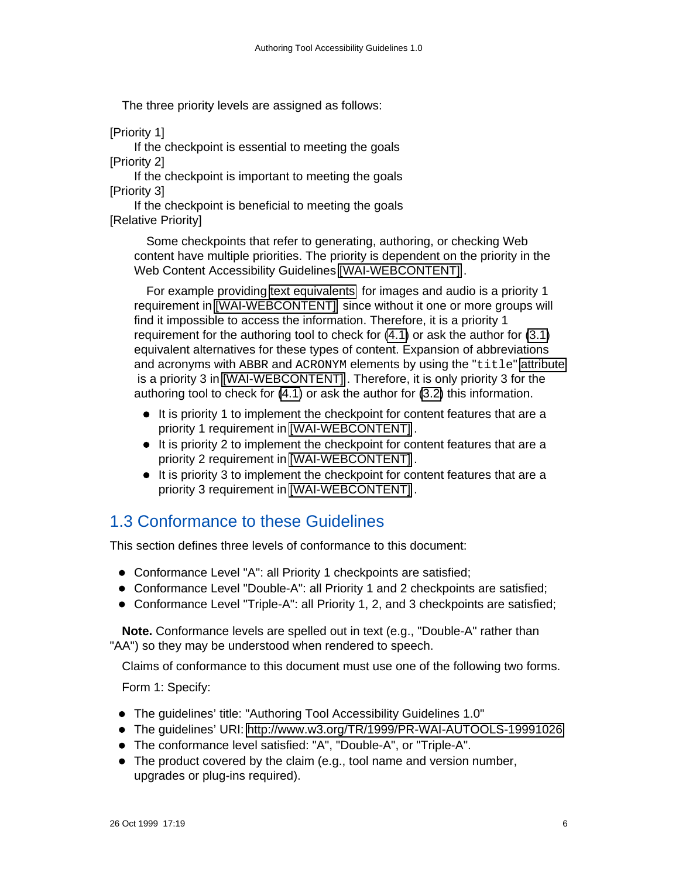The three priority levels are assigned as follows:

[Priority 1]

If the checkpoint is essential to meeting the goals [Priority 2]

If the checkpoint is important to meeting the goals [Priority 3]

If the checkpoint is beneficial to meeting the goals [Relative Priority]

Some checkpoints that refer to generating, authoring, or checking Web content have multiple priorities. The priority is dependent on the priority in the Web Content Accessibility Guidelines [\[WAI-WEBCONTENT\]](#page-16-2).

For example providing [text equivalents](#page-12-2) for images and audio is a priority 1 requirement in [\[WAI-WEBCONTENT\]](#page-16-2) since without it one or more groups will find it impossible to access the information. Therefore, it is a priority 1 requirement for the authoring tool to check for [\(4.1\)](#page-9-2) or ask the author for [\(3.1\)](#page-8-2) equivalent alternatives for these types of content. Expansion of abbreviations and acronyms with ABBR and ACRONYM elements by using the "title" [attribute](#page-13-0) is a priority 3 in [\[WAI-WEBCONTENT\]](#page-16-2) . Therefore, it is only priority 3 for the authoring tool to check for [\(4.1\)](#page-9-2) or ask the author for [\(3.2\)](#page-8-1) this information.

- It is priority 1 to implement the checkpoint for content features that are a priority 1 requirement in [\[WAI-WEBCONTENT\]](#page-16-2) .
- It is priority 2 to implement the checkpoint for content features that are a priority 2 requirement in [\[WAI-WEBCONTENT\]](#page-16-2) .
- It is priority 3 to implement the checkpoint for content features that are a priority 3 requirement in [\[WAI-WEBCONTENT\]](#page-16-2) .

## <span id="page-5-0"></span>1.3 Conformance to these Guidelines

This section defines three levels of conformance to this document:

- Conformance Level "A": all Priority 1 checkpoints are satisfied;
- Conformance Level "Double-A": all Priority 1 and 2 checkpoints are satisfied;
- Conformance Level "Triple-A": all Priority 1, 2, and 3 checkpoints are satisfied;

**Note.** Conformance levels are spelled out in text (e.g., "Double-A" rather than "AA") so they may be understood when rendered to speech.

Claims of conformance to this document must use one of the following two forms. Form 1: Specify:

- The guidelines' title: "Authoring Tool Accessibility Guidelines 1.0"
- The guidelines' URI:<http://www.w3.org/TR/1999/PR-WAI-AUTOOLS-19991026>
- The conformance level satisfied: "A", "Double-A", or "Triple-A".
- The product covered by the claim (e.g., tool name and version number, upgrades or plug-ins required).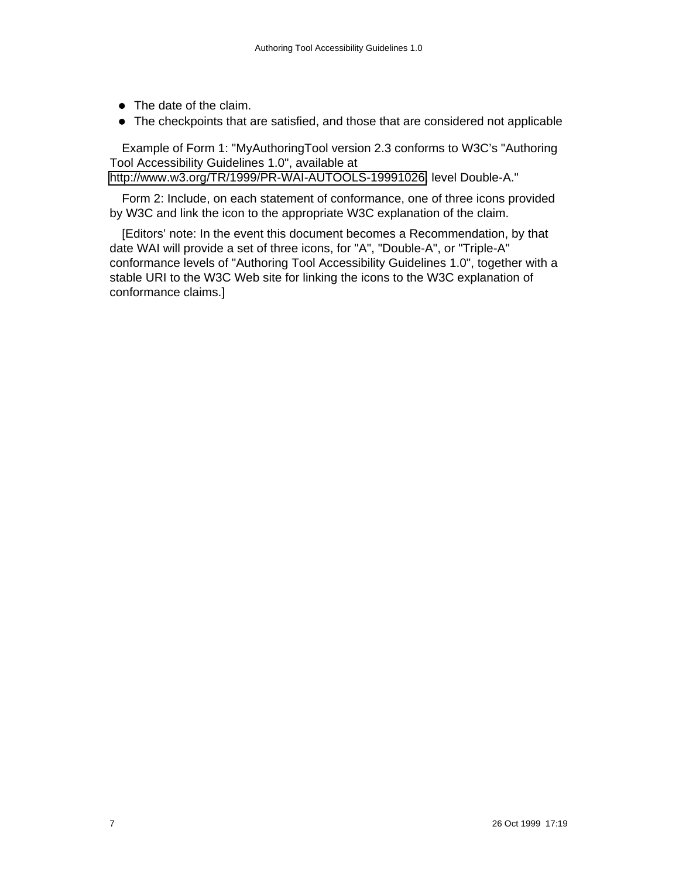- The date of the claim.
- The checkpoints that are satisfied, and those that are considered not applicable

Example of Form 1: "MyAuthoringTool version 2.3 conforms to W3C's "Authoring Tool Accessibility Guidelines 1.0", available at [http://www.w3.org/TR/1999/PR-WAI-AUTOOLS-19991026,](http://www.w3.org/TR/1999/PR-WAI-AUTOOLS-19991026) level Double-A."

Form 2: Include, on each statement of conformance, one of three icons provided by W3C and link the icon to the appropriate W3C explanation of the claim.

[Editors' note: In the event this document becomes a Recommendation, by that date WAI will provide a set of three icons, for "A", "Double-A", or "Triple-A" conformance levels of "Authoring Tool Accessibility Guidelines 1.0", together with a stable URI to the W3C Web site for linking the icons to the W3C explanation of conformance claims.]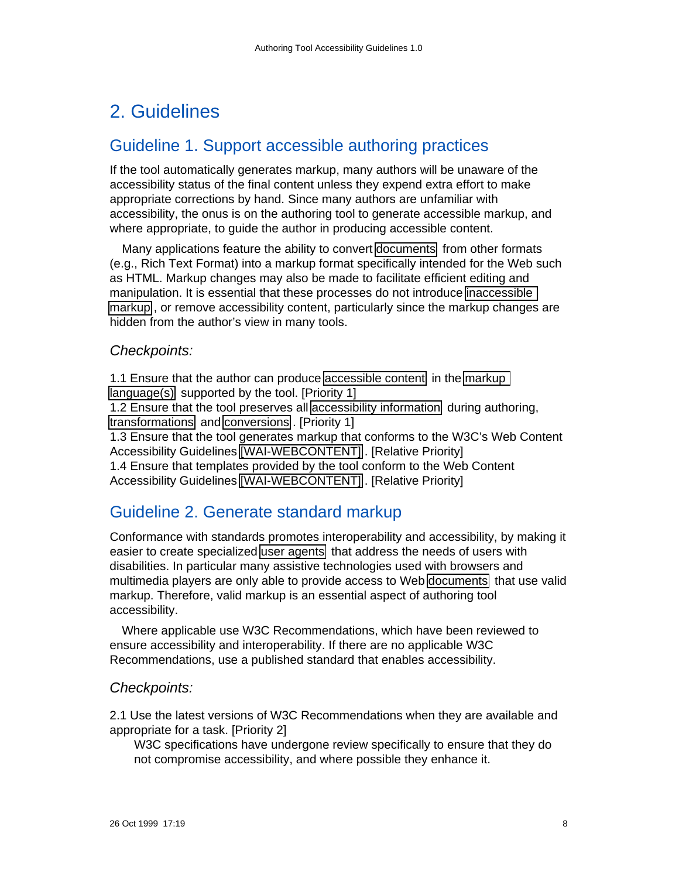# <span id="page-7-2"></span>2. Guidelines

## <span id="page-7-1"></span>Guideline 1. Support accessible authoring practices

If the tool automatically generates markup, many authors will be unaware of the accessibility status of the final content unless they expend extra effort to make appropriate corrections by hand. Since many authors are unfamiliar with accessibility, the onus is on the authoring tool to generate accessible markup, and where appropriate, to guide the author in producing accessible content.

Many applications feature the ability to convert [documents](#page-14-0) from other formats (e.g., Rich Text Format) into a markup format specifically intended for the Web such as HTML. Markup changes may also be made to facilitate efficient editing and manipulation. It is essential that these processes do not introduce [inaccessible](#page-12-4)  [markup](#page-12-4) , or remove accessibility content, particularly since the markup changes are hidden from the author's view in many tools.

### Checkpoints:

1.1 Ensure that the author can produce [accessible content](#page-12-1) in the [markup](#page-14-2)  [language\(s\)](#page-14-2) supported by the tool. [Priority 1] 1.2 Ensure that the tool preserves all [accessibility information](#page-12-3) during authoring, [transformations](#page-14-1) and [conversions](#page-13-1) . [Priority 1] 1.3 Ensure that the tool generates markup that conforms to the W3C's Web Content Accessibility Guidelines [\[WAI-WEBCONTENT\]](#page-16-2) . [Relative Priority] 1.4 Ensure that templates provided by the tool conform to the Web Content Accessibility Guidelines [\[WAI-WEBCONTENT\]](#page-16-2) . [Relative Priority]

# <span id="page-7-0"></span>Guideline 2. Generate standard markup

Conformance with standards promotes interoperability and accessibility, by making it easier to create specialized [user agents](#page-15-1) that address the needs of users with disabilities. In particular many assistive technologies used with browsers and multimedia players are only able to provide access to Web [documents](#page-14-0) that use valid markup. Therefore, valid markup is an essential aspect of authoring tool accessibility.

Where applicable use W3C Recommendations, which have been reviewed to ensure accessibility and interoperability. If there are no applicable W3C Recommendations, use a published standard that enables accessibility.

### Checkpoints:

2.1 Use the latest versions of W3C Recommendations when they are available and appropriate for a task. [Priority 2]

W3C specifications have undergone review specifically to ensure that they do not compromise accessibility, and where possible they enhance it.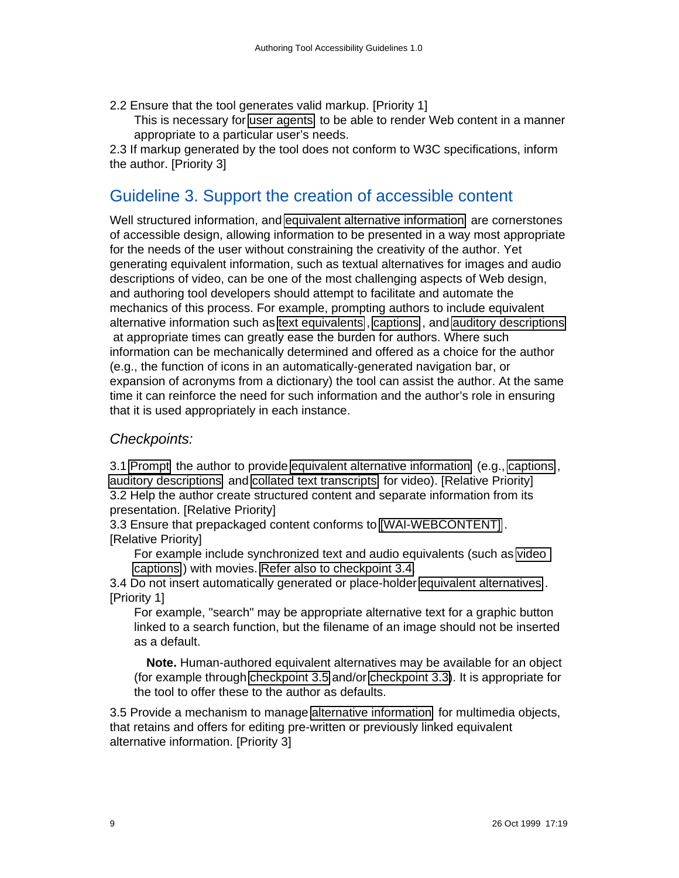- 2.2 Ensure that the tool generates valid markup. [Priority 1]
	- This is necessary for [user agents](#page-15-1) to be able to render Web content in a manner appropriate to a particular user's needs.

2.3 If markup generated by the tool does not conform to W3C specifications, inform the author. [Priority 3]

# <span id="page-8-0"></span>Guideline 3. Support the creation of accessible content

Well structured information, and [equivalent alternative information](#page-12-2) are cornerstones of accessible design, allowing information to be presented in a way most appropriate for the needs of the user without constraining the creativity of the author. Yet generating equivalent information, such as textual alternatives for images and audio descriptions of video, can be one of the most challenging aspects of Web design, and authoring tool developers should attempt to facilitate and automate the mechanics of this process. For example, prompting authors to include equivalent alternative information such as [text equivalents](#page-12-2) , [captions](#page-13-2) , and [auditory descriptions](#page-13-3) at appropriate times can greatly ease the burden for authors. Where such information can be mechanically determined and offered as a choice for the author (e.g., the function of icons in an automatically-generated navigation bar, or expansion of acronyms from a dictionary) the tool can assist the author. At the same time it can reinforce the need for such information and the author's role in ensuring that it is used appropriately in each instance.

### Checkpoints:

<span id="page-8-2"></span><span id="page-8-1"></span>3.1 [Prompt](#page-14-4) the author to provide [equivalent alternative information](#page-12-2) (e.g., [captions](#page-13-2) , [auditory descriptions](#page-13-3) and [collated text transcripts](#page-14-3) for video). [Relative Priority] 3.2 Help the author create structured content and separate information from its presentation. [Relative Priority]

<span id="page-8-3"></span>3.3 Ensure that prepackaged content conforms to [\[WAI-WEBCONTENT\]](#page-16-2) . [Relative Priority]

For example include synchronized text and audio equivalents (such as [video](#page-13-2)  [captions](#page-13-2) ) with movies. [Refer also to checkpoint 3.4.](#page-8-5)

<span id="page-8-5"></span>3.4 Do not insert automatically generated or place-holder [equivalent alternatives](#page-12-2) . [Priority 1]

For example, "search" may be appropriate alternative text for a graphic button linked to a search function, but the filename of an image should not be inserted as a default.

**Note.** Human-authored equivalent alternatives may be available for an object (for example through [checkpoint 3.5](#page-8-4) and/or [checkpoint 3.3\)](#page-8-3). It is appropriate for the tool to offer these to the author as defaults.

<span id="page-8-4"></span>3.5 Provide a mechanism to manage [alternative information](#page-12-2) for multimedia objects, that retains and offers for editing pre-written or previously linked equivalent alternative information. [Priority 3]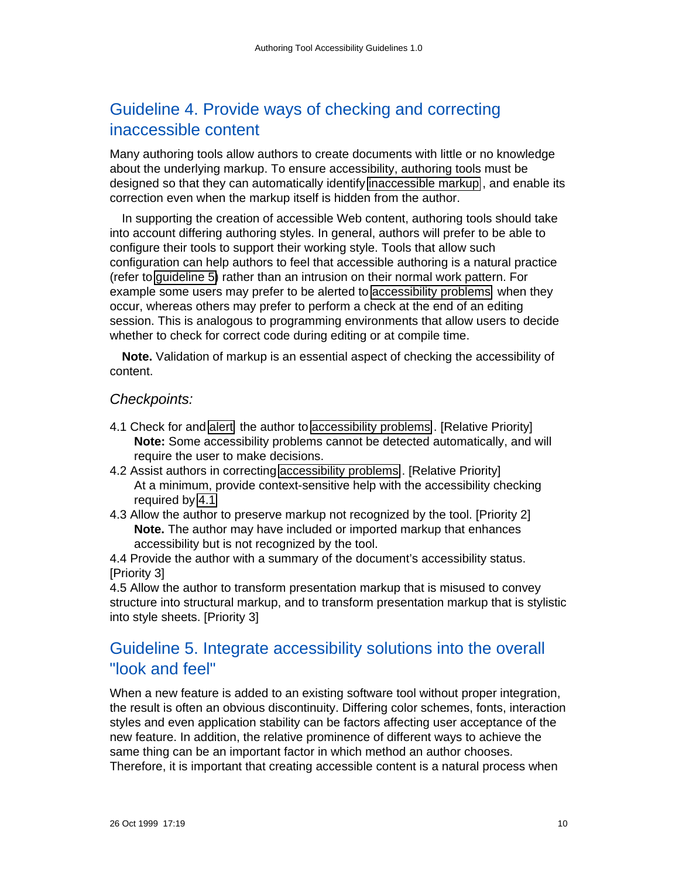# <span id="page-9-1"></span>Guideline 4. Provide ways of checking and correcting inaccessible content

Many authoring tools allow authors to create documents with little or no knowledge about the underlying markup. To ensure accessibility, authoring tools must be designed so that they can automatically identify [inaccessible markup](#page-12-4) , and enable its correction even when the markup itself is hidden from the author.

In supporting the creation of accessible Web content, authoring tools should take into account differing authoring styles. In general, authors will prefer to be able to configure their tools to support their working style. Tools that allow such configuration can help authors to feel that accessible authoring is a natural practice (refer to [guideline 5\)](http://www.w3.org/TR/WAI-AUTOOLS#gl-integrate-naturally) rather than an intrusion on their normal work pattern. For example some users may prefer to be alerted to [accessibility problems](#page-12-4) when they occur, whereas others may prefer to perform a check at the end of an editing session. This is analogous to programming environments that allow users to decide whether to check for correct code during editing or at compile time.

**Note.** Validation of markup is an essential aspect of checking the accessibility of content.

### Checkpoints:

- <span id="page-9-2"></span>4.1 Check for and [alert](#page-12-5) the author to [accessibility problems](#page-12-4) . [Relative Priority] **Note:** Some accessibility problems cannot be detected automatically, and will require the user to make decisions.
- 4.2 Assist authors in correcting [accessibility problems](#page-12-4) . [Relative Priority] At a minimum, provide context-sensitive help with the accessibility checking required by [4.1](#page-9-2)
- 4.3 Allow the author to preserve markup not recognized by the tool. [Priority 2] **Note.** The author may have included or imported markup that enhances accessibility but is not recognized by the tool.

4.4 Provide the author with a summary of the document's accessibility status. [Priority 3]

4.5 Allow the author to transform presentation markup that is misused to convey structure into structural markup, and to transform presentation markup that is stylistic into style sheets. [Priority 3]

## <span id="page-9-0"></span>Guideline 5. Integrate accessibility solutions into the overall "look and feel"

When a new feature is added to an existing software tool without proper integration, the result is often an obvious discontinuity. Differing color schemes, fonts, interaction styles and even application stability can be factors affecting user acceptance of the new feature. In addition, the relative prominence of different ways to achieve the same thing can be an important factor in which method an author chooses. Therefore, it is important that creating accessible content is a natural process when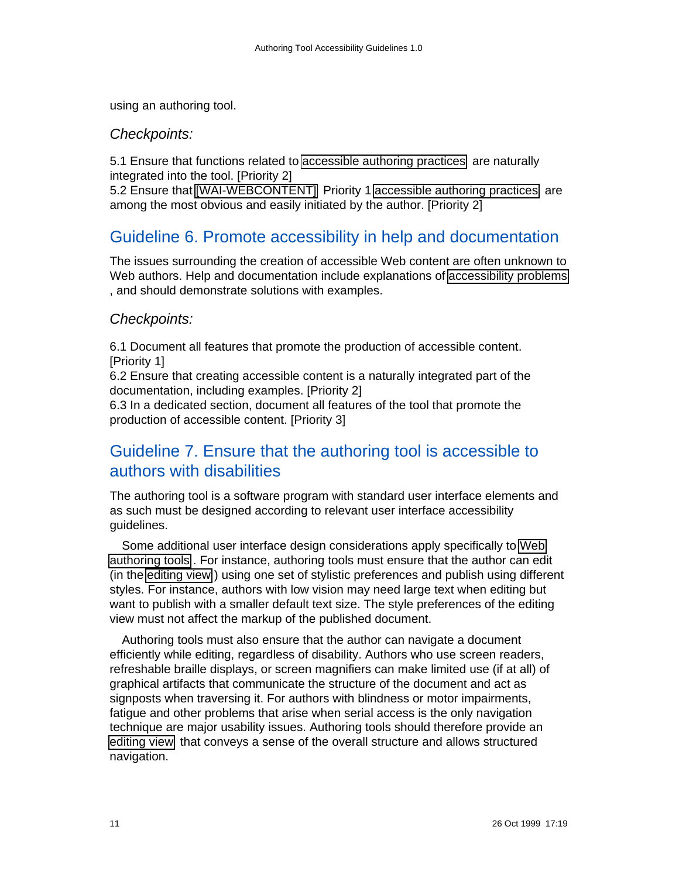using an authoring tool.

### Checkpoints:

5.1 Ensure that functions related to [accessible authoring practices](#page-12-6) are naturally integrated into the tool. [Priority 2]

5.2 Ensure that [\[WAI-WEBCONTENT\]](#page-16-2) Priority 1 [accessible authoring practices](#page-12-6) are among the most obvious and easily initiated by the author. [Priority 2]

## <span id="page-10-1"></span>Guideline 6. Promote accessibility in help and documentation

The issues surrounding the creation of accessible Web content are often unknown to Web authors. Help and documentation include explanations of [accessibility problems](#page-12-4) , and should demonstrate solutions with examples.

### Checkpoints:

6.1 Document all features that promote the production of accessible content. [Priority 1]

6.2 Ensure that creating accessible content is a naturally integrated part of the documentation, including examples. [Priority 2]

6.3 In a dedicated section, document all features of the tool that promote the production of accessible content. [Priority 3]

## <span id="page-10-0"></span>Guideline 7. Ensure that the authoring tool is accessible to authors with disabilities

The authoring tool is a software program with standard user interface elements and as such must be designed according to relevant user interface accessibility guidelines.

Some additional user interface design considerations apply specifically to [Web](#page-13-4) [authoring tools](#page-13-4) . For instance, authoring tools must ensure that the author can edit (in the [editing view](#page-14-5) ) using one set of stylistic preferences and publish using different styles. For instance, authors with low vision may need large text when editing but want to publish with a smaller default text size. The style preferences of the editing view must not affect the markup of the published document.

Authoring tools must also ensure that the author can navigate a document efficiently while editing, regardless of disability. Authors who use screen readers, refreshable braille displays, or screen magnifiers can make limited use (if at all) of graphical artifacts that communicate the structure of the document and act as signposts when traversing it. For authors with blindness or motor impairments, fatigue and other problems that arise when serial access is the only navigation technique are major usability issues. Authoring tools should therefore provide an [editing view](#page-14-5) that conveys a sense of the overall structure and allows structured navigation.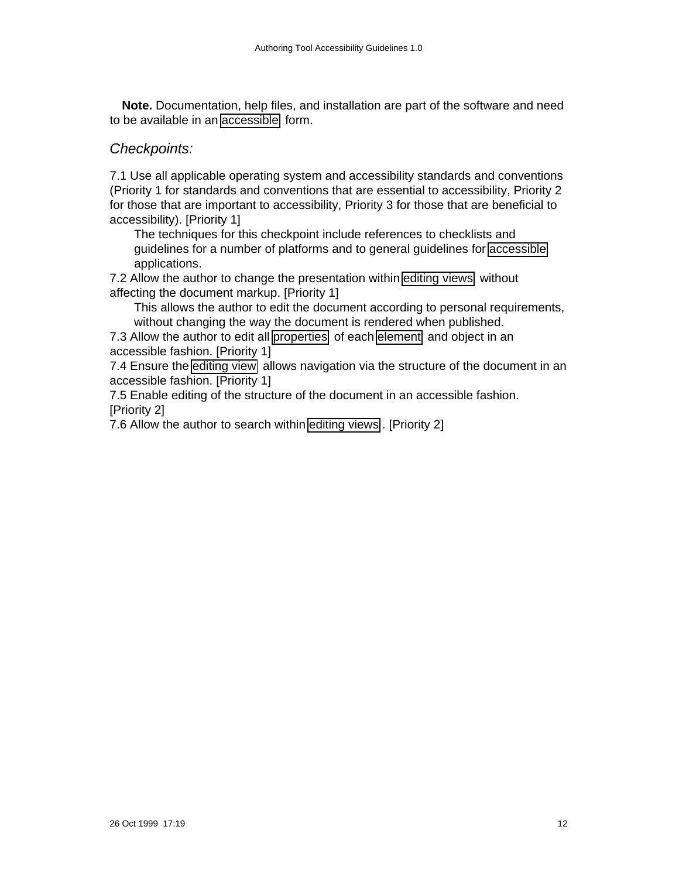**Note.** Documentation, help files, and installation are part of the software and need to be available in an [accessible](#page-12-1) form.

### Checkpoints:

7.1 Use all applicable operating system and accessibility standards and conventions (Priority 1 for standards and conventions that are essential to accessibility, Priority 2 for those that are important to accessibility, Priority 3 for those that are beneficial to accessibility). [Priority 1]

The techniques for this checkpoint include references to checklists and guidelines for a number of platforms and to general guidelines for [accessible](#page-12-1) applications.

7.2 Allow the author to change the presentation within [editing views](#page-14-5) without affecting the document markup. [Priority 1]

This allows the author to edit the document according to personal requirements, without changing the way the document is rendered when published.

7.3 Allow the author to edit all [properties](#page-14-7) of each [element](#page-14-6) and object in an accessible fashion. [Priority 1]

7.4 Ensure the [editing view](#page-14-5) allows navigation via the structure of the document in an accessible fashion. [Priority 1]

7.5 Enable editing of the structure of the document in an accessible fashion. [Priority 2]

7.6 Allow the author to search within [editing views](#page-14-5) . [Priority 2]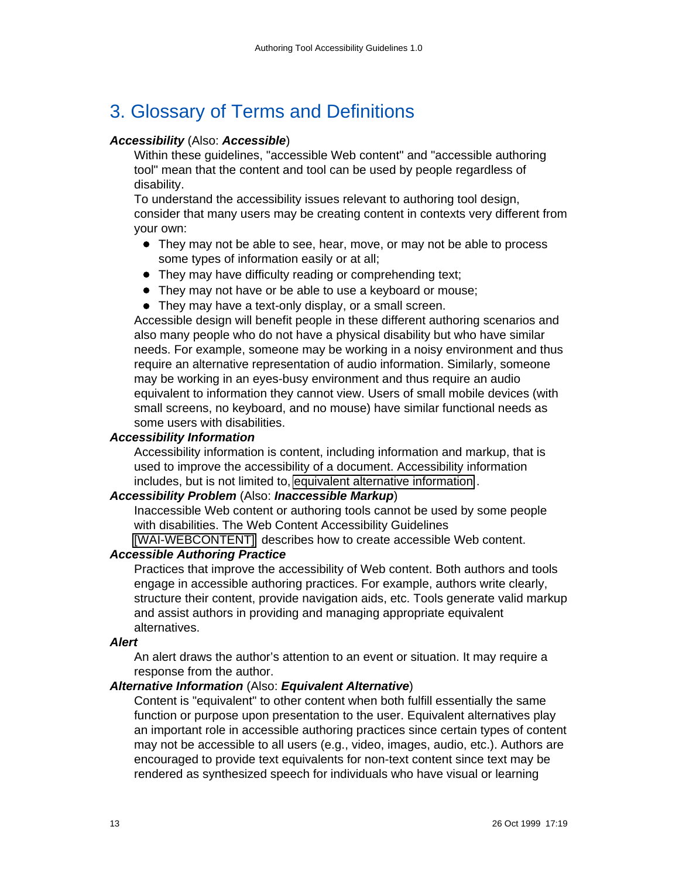# <span id="page-12-0"></span>3. Glossary of Terms and Definitions

#### <span id="page-12-1"></span>**Accessibility** (Also: **Accessible**)

Within these guidelines, "accessible Web content" and "accessible authoring tool" mean that the content and tool can be used by people regardless of disability.

To understand the accessibility issues relevant to authoring tool design, consider that many users may be creating content in contexts very different from your own:

- They may not be able to see, hear, move, or may not be able to process some types of information easily or at all;
- They may have difficulty reading or comprehending text;
- They may not have or be able to use a keyboard or mouse;
- They may have a text-only display, or a small screen.

Accessible design will benefit people in these different authoring scenarios and also many people who do not have a physical disability but who have similar needs. For example, someone may be working in a noisy environment and thus require an alternative representation of audio information. Similarly, someone may be working in an eyes-busy environment and thus require an audio equivalent to information they cannot view. Users of small mobile devices (with small screens, no keyboard, and no mouse) have similar functional needs as some users with disabilities.

#### <span id="page-12-3"></span>**Accessibility Information**

Accessibility information is content, including information and markup, that is used to improve the accessibility of a document. Accessibility information includes, but is not limited to, [equivalent alternative information](#page-12-2) .

#### <span id="page-12-4"></span>**Accessibility Problem** (Also: **Inaccessible Markup**)

Inaccessible Web content or authoring tools cannot be used by some people with disabilities. The Web Content Accessibility Guidelines

[\[WAI-WEBCONTENT\]](#page-16-2) describes how to create accessible Web content.

#### <span id="page-12-6"></span>**Accessible Authoring Practice**

Practices that improve the accessibility of Web content. Both authors and tools engage in accessible authoring practices. For example, authors write clearly, structure their content, provide navigation aids, etc. Tools generate valid markup and assist authors in providing and managing appropriate equivalent alternatives.

#### <span id="page-12-5"></span>**Alert**

An alert draws the author's attention to an event or situation. It may require a response from the author.

#### <span id="page-12-2"></span>**Alternative Information** (Also: **Equivalent Alternative**)

Content is "equivalent" to other content when both fulfill essentially the same function or purpose upon presentation to the user. Equivalent alternatives play an important role in accessible authoring practices since certain types of content may not be accessible to all users (e.g., video, images, audio, etc.). Authors are encouraged to provide text equivalents for non-text content since text may be rendered as synthesized speech for individuals who have visual or learning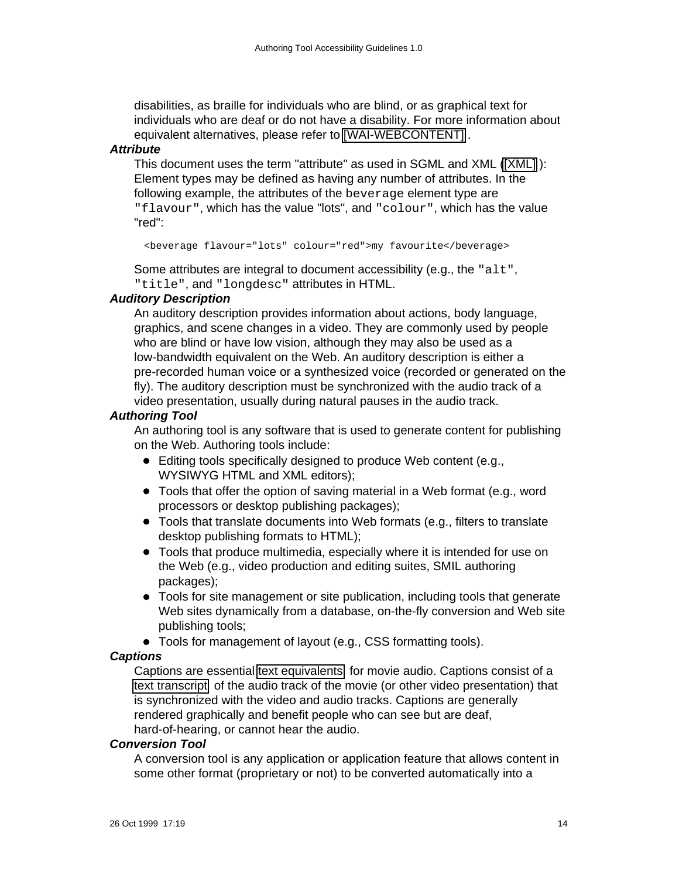disabilities, as braille for individuals who are blind, or as graphical text for individuals who are deaf or do not have a disability. For more information about equivalent alternatives, please refer to [\[WAI-WEBCONTENT\]](#page-16-2) .

#### <span id="page-13-0"></span>**Attribute**

This document uses the term "attribute" as used in SGML and XML [\(\[XML\]](#page-16-4) ): Element types may be defined as having any number of attributes. In the following example, the attributes of the beverage element type are "flavour", which has the value "lots", and "colour", which has the value "red":

```
<beverage flavour="lots" colour="red">my favourite</beverage>
```
Some attributes are integral to document accessibility (e.g., the "alt", "title", and "longdesc" attributes in HTML.

#### <span id="page-13-3"></span>**Auditory Description**

An auditory description provides information about actions, body language, graphics, and scene changes in a video. They are commonly used by people who are blind or have low vision, although they may also be used as a low-bandwidth equivalent on the Web. An auditory description is either a pre-recorded human voice or a synthesized voice (recorded or generated on the fly). The auditory description must be synchronized with the audio track of a video presentation, usually during natural pauses in the audio track.

#### <span id="page-13-4"></span>**Authoring Tool**

An authoring tool is any software that is used to generate content for publishing on the Web. Authoring tools include:

- Editing tools specifically designed to produce Web content (e.g., WYSIWYG HTML and XML editors);
- Tools that offer the option of saving material in a Web format (e.g., word processors or desktop publishing packages);
- Tools that translate documents into Web formats (e.g., filters to translate desktop publishing formats to HTML);
- Tools that produce multimedia, especially where it is intended for use on the Web (e.g., video production and editing suites, SMIL authoring packages);
- Tools for site management or site publication, including tools that generate Web sites dynamically from a database, on-the-fly conversion and Web site publishing tools;
- Tools for management of layout (e.g., CSS formatting tools).

#### <span id="page-13-2"></span>**Captions**

Captions are essential [text equivalents](#page-12-2) for movie audio. Captions consist of a [text transcript](#page-14-3) of the audio track of the movie (or other video presentation) that is synchronized with the video and audio tracks. Captions are generally rendered graphically and benefit people who can see but are deaf, hard-of-hearing, or cannot hear the audio.

#### <span id="page-13-1"></span>**Conversion Tool**

A conversion tool is any application or application feature that allows content in some other format (proprietary or not) to be converted automatically into a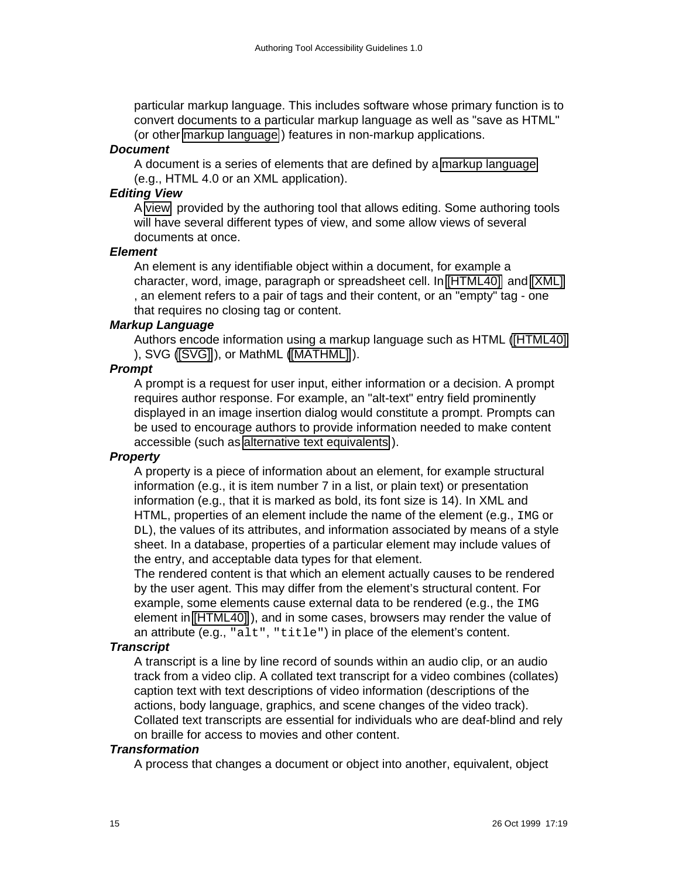particular markup language. This includes software whose primary function is to convert documents to a particular markup language as well as "save as HTML" (or other [markup language](#page-14-2) ) features in non-markup applications.

#### <span id="page-14-0"></span>**Document**

A document is a series of elements that are defined by a [markup language](#page-14-2) (e.g., HTML 4.0 or an XML application).

#### <span id="page-14-5"></span>**Editing View**

A [view](#page-15-2) provided by the authoring tool that allows editing. Some authoring tools will have several different types of view, and some allow views of several documents at once.

#### <span id="page-14-6"></span>**Element**

An element is any identifiable object within a document, for example a character, word, image, paragraph or spreadsheet cell. In [\[HTML40\]](#page-16-5) and [\[XML\]](#page-16-4) , an element refers to a pair of tags and their content, or an "empty" tag - one that requires no closing tag or content.

#### <span id="page-14-2"></span>**Markup Language**

Authors encode information using a markup language such as HTML [\(\[HTML40\]](#page-16-5) ), SVG [\(\[SVG\]](#page-16-7) ), or MathML [\(\[MATHML\]](#page-16-6) ).

#### <span id="page-14-4"></span>**Prompt**

A prompt is a request for user input, either information or a decision. A prompt requires author response. For example, an "alt-text" entry field prominently displayed in an image insertion dialog would constitute a prompt. Prompts can be used to encourage authors to provide information needed to make content accessible (such as [alternative text equivalents](#page-12-2) ).

#### <span id="page-14-7"></span>**Property**

A property is a piece of information about an element, for example structural information (e.g., it is item number 7 in a list, or plain text) or presentation information (e.g., that it is marked as bold, its font size is 14). In XML and HTML, properties of an element include the name of the element (e.g., IMG or DL), the values of its attributes, and information associated by means of a style sheet. In a database, properties of a particular element may include values of the entry, and acceptable data types for that element.

The rendered content is that which an element actually causes to be rendered by the user agent. This may differ from the element's structural content. For example, some elements cause external data to be rendered (e.g., the IMG element in [\[HTML40\]](#page-16-5) ), and in some cases, browsers may render the value of an attribute (e.g., "alt", "title") in place of the element's content.

#### <span id="page-14-3"></span>**Transcript**

A transcript is a line by line record of sounds within an audio clip, or an audio track from a video clip. A collated text transcript for a video combines (collates) caption text with text descriptions of video information (descriptions of the actions, body language, graphics, and scene changes of the video track). Collated text transcripts are essential for individuals who are deaf-blind and rely on braille for access to movies and other content.

#### <span id="page-14-1"></span>**Transformation**

A process that changes a document or object into another, equivalent, object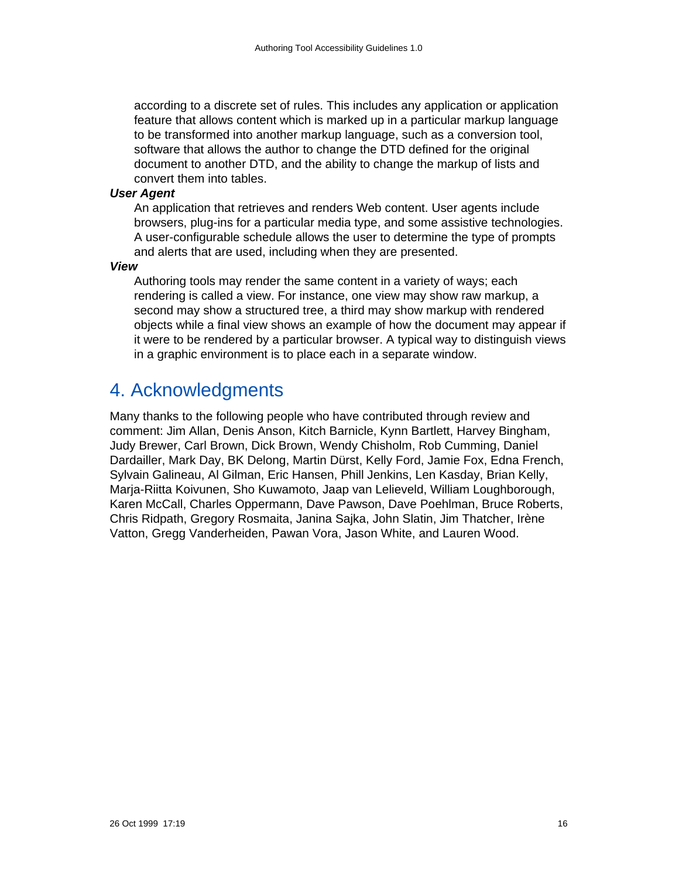according to a discrete set of rules. This includes any application or application feature that allows content which is marked up in a particular markup language to be transformed into another markup language, such as a conversion tool, software that allows the author to change the DTD defined for the original document to another DTD, and the ability to change the markup of lists and convert them into tables.

#### <span id="page-15-1"></span>**User Agent**

An application that retrieves and renders Web content. User agents include browsers, plug-ins for a particular media type, and some assistive technologies. A user-configurable schedule allows the user to determine the type of prompts and alerts that are used, including when they are presented.

<span id="page-15-2"></span>**View**

Authoring tools may render the same content in a variety of ways; each rendering is called a view. For instance, one view may show raw markup, a second may show a structured tree, a third may show markup with rendered objects while a final view shows an example of how the document may appear if it were to be rendered by a particular browser. A typical way to distinguish views in a graphic environment is to place each in a separate window.

# <span id="page-15-0"></span>4. Acknowledgments

Many thanks to the following people who have contributed through review and comment: Jim Allan, Denis Anson, Kitch Barnicle, Kynn Bartlett, Harvey Bingham, Judy Brewer, Carl Brown, Dick Brown, Wendy Chisholm, Rob Cumming, Daniel Dardailler, Mark Day, BK Delong, Martin Dürst, Kelly Ford, Jamie Fox, Edna French, Sylvain Galineau, Al Gilman, Eric Hansen, Phill Jenkins, Len Kasday, Brian Kelly, Marja-Riitta Koivunen, Sho Kuwamoto, Jaap van Lelieveld, William Loughborough, Karen McCall, Charles Oppermann, Dave Pawson, Dave Poehlman, Bruce Roberts, Chris Ridpath, Gregory Rosmaita, Janina Sajka, John Slatin, Jim Thatcher, Irène Vatton, Gregg Vanderheiden, Pawan Vora, Jason White, and Lauren Wood.